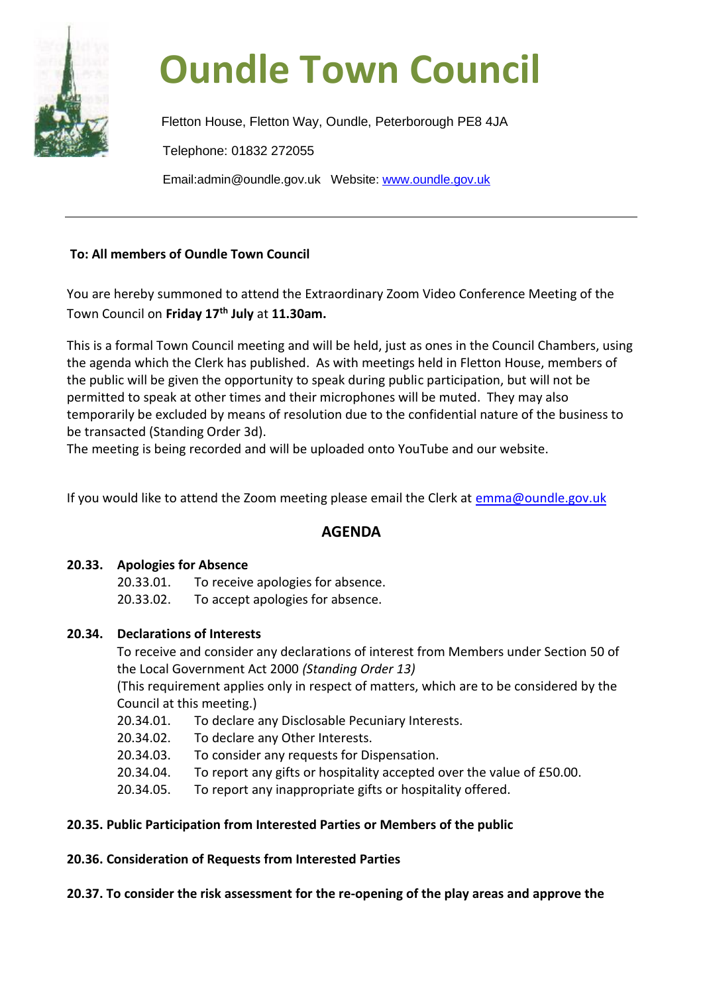

# **Oundle Town Council**

Fletton House, Fletton Way, Oundle, Peterborough PE8 4JA Telephone: 01832 272055 Email:admin@oundle.gov.uk Website: [www.oundle.gov.uk](http://www.oundle.gov.uk/)

### **To: All members of Oundle Town Council**

You are hereby summoned to attend the Extraordinary Zoom Video Conference Meeting of the Town Council on **Friday 17th July** at **11.30am.**

This is a formal Town Council meeting and will be held, just as ones in the Council Chambers, using the agenda which the Clerk has published. As with meetings held in Fletton House, members of the public will be given the opportunity to speak during public participation, but will not be permitted to speak at other times and their microphones will be muted. They may also temporarily be excluded by means of resolution due to the confidential nature of the business to be transacted (Standing Order 3d).

The meeting is being recorded and will be uploaded onto YouTube and our website.

If you would like to attend the Zoom meeting please email the Clerk at [emma@oundle.gov.uk](mailto:emma@oundle.gov.uk)

## **AGENDA**

#### **20.33. Apologies for Absence**

20.33.01. To receive apologies for absence.

20.33.02. To accept apologies for absence.

#### **20.34. Declarations of Interests**

To receive and consider any declarations of interest from Members under Section 50 of the Local Government Act 2000 *(Standing Order 13)*

(This requirement applies only in respect of matters, which are to be considered by the Council at this meeting.)

- 20.34.01. To declare any Disclosable Pecuniary Interests.
- 20.34.02. To declare any Other Interests.
- 20.34.03. To consider any requests for Dispensation.
- 20.34.04. To report any gifts or hospitality accepted over the value of £50.00.
- 20.34.05. To report any inappropriate gifts or hospitality offered.

#### **20.35. Public Participation from Interested Parties or Members of the public**

**20.36. Consideration of Requests from Interested Parties**

**20.37. To consider the risk assessment for the re-opening of the play areas and approve the**